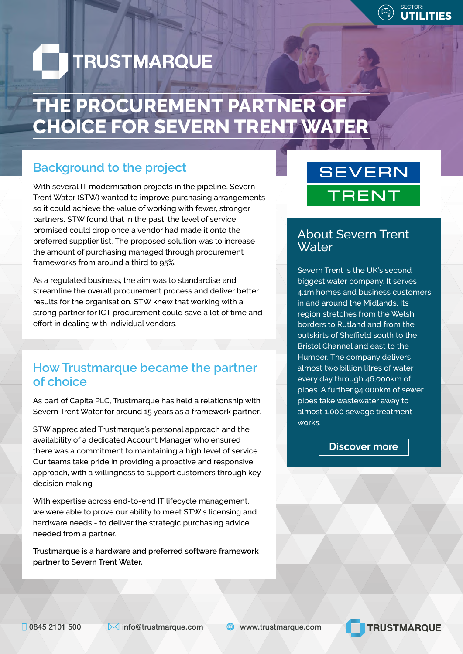

# **TRUSTMARQUE**

# **THE PROCUREMENT PARTNER OF CHOICE FOR SEVERN TRENT WATER**

# **Background to the project**

With several IT modernisation projects in the pipeline, Severn Trent Water (STW) wanted to improve purchasing arrangements so it could achieve the value of working with fewer, stronger partners. STW found that in the past, the level of service promised could drop once a vendor had made it onto the preferred supplier list. The proposed solution was to increase the amount of purchasing managed through procurement frameworks from around a third to 95%.

As a regulated business, the aim was to standardise and streamline the overall procurement process and deliver better results for the organisation. STW knew that working with a strong partner for ICT procurement could save a lot of time and effort in dealing with individual vendors.

# **How Trustmarque became the partner of choice**

As part of Capita PLC, Trustmarque has held a relationship with Severn Trent Water for around 15 years as a framework partner.

STW appreciated Trustmarque's personal approach and the availability of a dedicated Account Manager who ensured there was a commitment to maintaining a high level of service. Our teams take pride in providing a proactive and responsive approach, with a willingness to support customers through key decision making.

With expertise across end-to-end IT lifecycle management, we were able to prove our ability to meet STW's licensing and hardware needs - to deliver the strategic purchasing advice needed from a partner.

**Trustmarque is a hardware and preferred software framework partner to Severn Trent Water.**

# **SEVERN TRENT**

### About Severn Trent **Water**

Severn Trent is the UK's second biggest water company. It serves 4.1m homes and business customers in and around the Midlands. Its region stretches from the Welsh borders to Rutland and from the outskirts of Sheffield south to the Bristol Channel and east to the Humber. The company delivers almost two billion litres of water every day through 46,000km of pipes. A further 94,000km of sewer pipes take wastewater away to almost 1,000 sewage treatment works.

#### **Discover more**

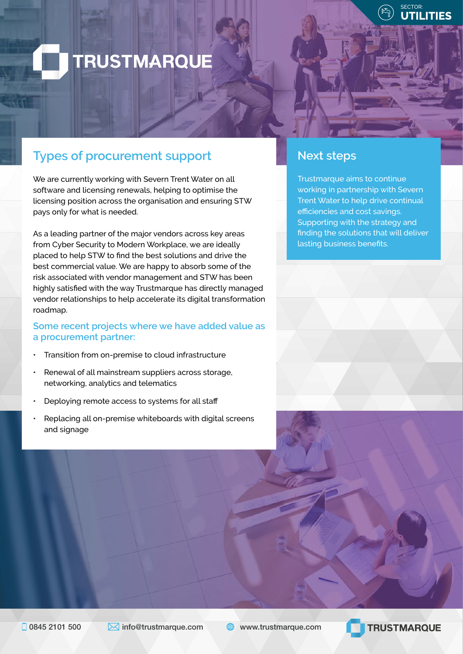

# **TRUSTMARQUE**

# **Types of procurement support**

We are currently working with Severn Trent Water on all software and licensing renewals, helping to optimise the licensing position across the organisation and ensuring STW pays only for what is needed.

As a leading partner of the major vendors across key areas from Cyber Security to Modern Workplace, we are ideally placed to help STW to find the best solutions and drive the best commercial value. We are happy to absorb some of the risk associated with vendor management and STW has been highly satisfied with the way Trustmarque has directly managed vendor relationships to help accelerate its digital transformation roadmap.

#### **Some recent projects where we have added value as a procurement partner:**

- Transition from on-premise to cloud infrastructure
- Renewal of all mainstream suppliers across storage, networking, analytics and telematics
- Deploying remote access to systems for all staff
- Replacing all on-premise whiteboards with digital screens and signage

### **Next steps**

Trustmarque aims to continue working in partnership with Severn Trent Water to help drive continual efficiencies and cost savings. Supporting with the strategy and finding the solutions that will deliver lasting business benefits.